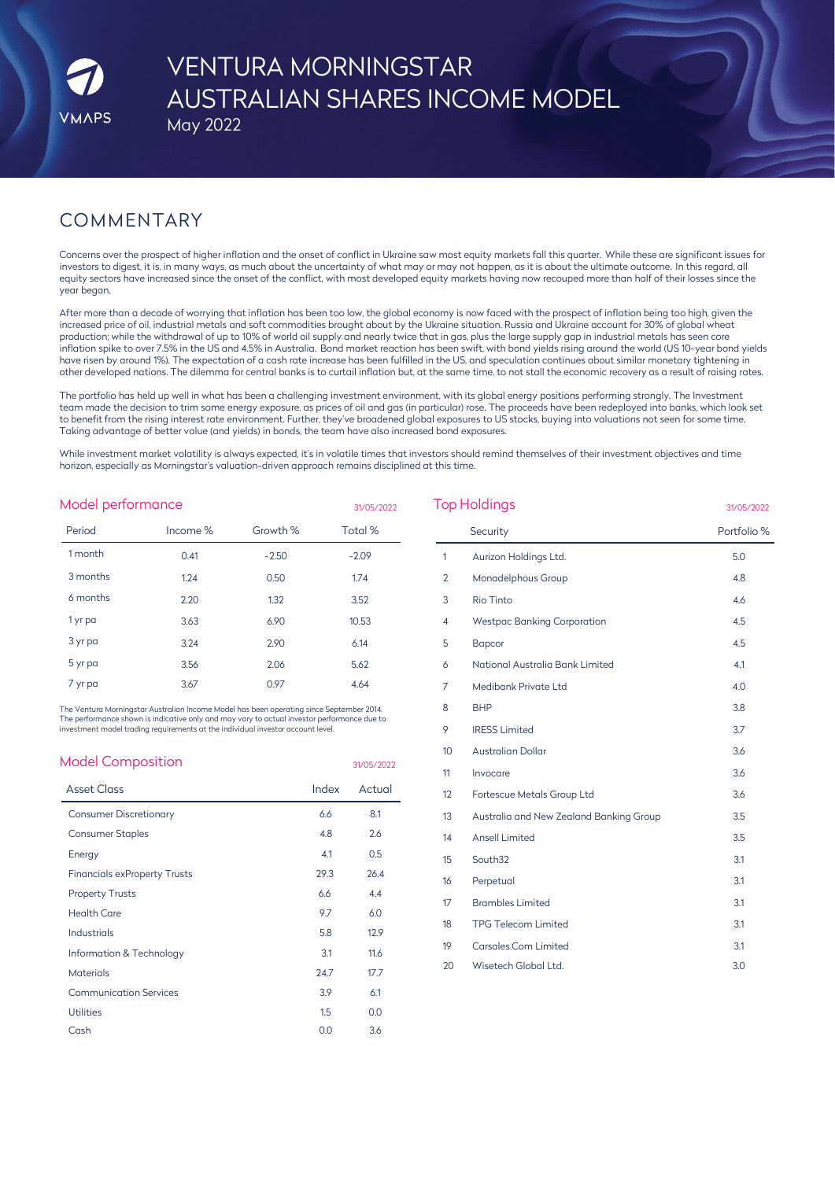# VENTURA MORNINGSTAR AUSTRALIAN SHARES INCOME MODEL

### May 2022

## COMMENTARY

Concerns over the prospect of higher inflation and the onset of conflict in Ukraine saw most equity markets fall this quarter. While these are significant issues for investors to digest, it is, in many ways, as much about the uncertainty of what may or may not happen, as it is about the ultimate outcome. In this regard, all equity sectors have increased since the onset of the conflict, with most developed equity markets having now recouped more than half of their losses since the year began.

After more than a decade of worrying that inflation has been too low, the global economy is now faced with the prospect of inflation being too high, given the increased price of oil, industrial metals and soft commodities brought about by the Ukraine situation. Russia and Ukraine account for 30% of global wheat production; while the withdrawal of up to 10% of world oil supply and nearly twice that in gas, plus the large supply gap in industrial metals has seen core inflation spike to over 7.5% in the US and 4.5% in Australia. Bond market reaction has been swift, with bond yields rising around the world (US 10-year bond yields have risen by around 1%). The expectation of a cash rate increase has been fulfilled in the US, and speculation continues about similar monetary tightening in other developed nations. The dilemma for central banks is to curtail inflation but, at the same time, to not stall the economic recovery as a result of raising rates.

The portfolio has held up well in what has been a challenging investment environment, with its global energy positions performing strongly. The Investment team made the decision to trim some energy exposure, as prices of oil and gas (in particular) rose. The proceeds have been redeployed into banks, which look set to benefit from the rising interest rate environment. Further, they've broadened global exposures to US stocks, buying into valuations not seen for some time. Taking advantage of better value (and yields) in bonds, the team have also increased bond exposures.

While investment market volatility is always expected, it's in volatile times that investors should remind themselves of their investment objectives and time horizon, especially as Morningstar's valuation-driven approach remains disciplined at this time.

| Model performance<br>31/05/2022 |          |          |         |  |  |  |
|---------------------------------|----------|----------|---------|--|--|--|
| Period                          | Income % | Growth % | Total % |  |  |  |
| 1 month                         | 0.41     | $-2.50$  | $-2.09$ |  |  |  |
| 3 months                        | 1.24     | 0.50     | 1.74    |  |  |  |
| 6 months                        | 2.20     | 1.32     | 3.52    |  |  |  |
| 1 yr pa                         | 3.63     | 6.90     | 10.53   |  |  |  |
| 3 yr pa                         | 3.24     | 2.90     | 6.14    |  |  |  |
| 5 yr pa                         | 3.56     | 2.06     | 5.62    |  |  |  |
| 7 yr pa                         | 3.67     | 0.97     | 4.64    |  |  |  |

| <b>Model Composition</b>            |       | 31/05/2022 |
|-------------------------------------|-------|------------|
| <b>Asset Class</b>                  | Index | Actual     |
| <b>Consumer Discretionary</b>       | 6.6   | 8.1        |
| <b>Consumer Staples</b>             | 4.8   | 2.6        |
| Energy                              | 4.1   | 0.5        |
| <b>Financials exProperty Trusts</b> | 29.3  | 26.4       |
| <b>Property Trusts</b>              | 6.6   | 4.4        |
| <b>Health Care</b>                  | 9.7   | 6.0        |
| Industrials                         | 5.8   | 12.9       |
| Information & Technology            | 3.1   | 11.6       |
| <b>Materials</b>                    | 24.7  | 17.7       |
| <b>Communication Services</b>       | 3.9   | 6.1        |
| <b>Utilities</b>                    | 1.5   | 0.0        |
| Cash                                | 0.0   | 3.6        |
|                                     |       |            |

| Model performance<br>31/05/2022                                                                                                                                                                                                                                            |          |          |       |            | <b>Top Holdings</b> |                                         | 31/05/2022  |
|----------------------------------------------------------------------------------------------------------------------------------------------------------------------------------------------------------------------------------------------------------------------------|----------|----------|-------|------------|---------------------|-----------------------------------------|-------------|
| Period                                                                                                                                                                                                                                                                     | Income % | Growth % |       | Total %    |                     | Security                                | Portfolio % |
| 1 month                                                                                                                                                                                                                                                                    | 0.41     | $-2.50$  |       | $-2.09$    | 1                   | Aurizon Holdings Ltd.                   | 5.0         |
| 3 months                                                                                                                                                                                                                                                                   | 1.24     | 0.50     |       | 1.74       | $\overline{2}$      | Monadelphous Group                      | 4.8         |
| 6 months                                                                                                                                                                                                                                                                   | 2.20     | 1.32     |       | 3.52       | 3                   | <b>Rio Tinto</b>                        | 4.6         |
| 1 yr pa                                                                                                                                                                                                                                                                    | 3.63     | 6.90     |       | 10.53      | 4                   | <b>Westpac Banking Corporation</b>      | 4.5         |
| 3 yr pa                                                                                                                                                                                                                                                                    | 3.24     | 2.90     |       | 6.14       | 5                   | <b>Bapcor</b>                           | 4.5         |
| 5 yr pa                                                                                                                                                                                                                                                                    | 3.56     | 2.06     |       | 5.62       | 6                   | National Australia Bank Limited         | 4.1         |
| 7 yr pa                                                                                                                                                                                                                                                                    | 3.67     | 0.97     |       | 4.64       | 7                   | Medibank Private Ltd                    | 4.0         |
| The Ventura Morningstar Australian Income Model has been operating since September 2014.<br>The performance shown is indicative only and may vary to actual investor performance due to<br>investment model trading requirements at the individual investor account level. |          |          |       |            | 8                   | <b>BHP</b>                              | 3.8         |
|                                                                                                                                                                                                                                                                            |          |          |       |            | 9                   | <b>IRESS Limited</b>                    | 3.7         |
|                                                                                                                                                                                                                                                                            |          |          |       |            | 10                  | <b>Australian Dollar</b>                | 3.6         |
| <b>Model Composition</b>                                                                                                                                                                                                                                                   |          |          |       | 31/05/2022 | 11                  | Invocare                                | 3.6         |
| <b>Asset Class</b>                                                                                                                                                                                                                                                         |          |          | Index | Actual     | 12                  | Fortescue Metals Group Ltd              | 3.6         |
| <b>Consumer Discretionary</b>                                                                                                                                                                                                                                              |          |          | 6.6   | 8.1        | 13                  | Australia and New Zealand Banking Group | 3.5         |
| <b>Consumer Staples</b>                                                                                                                                                                                                                                                    |          |          | 4.8   | 2.6        | 14                  | <b>Ansell Limited</b>                   | 3.5         |
| Energy                                                                                                                                                                                                                                                                     |          |          | 4.1   | 0.5        | 15                  | South32                                 | 3.1         |
| <b>Financials exProperty Trusts</b>                                                                                                                                                                                                                                        |          |          | 29.3  | 26.4       | 16                  | Perpetual                               | 3.1         |
| <b>Property Trusts</b>                                                                                                                                                                                                                                                     |          |          | 6.6   | 4.4        | 17                  | <b>Brambles Limited</b>                 | 3.1         |
| <b>Health Care</b>                                                                                                                                                                                                                                                         |          |          | 9.7   | 6.0        | 18                  | <b>TPG Telecom Limited</b>              | 3.1         |
| <b>Industrials</b>                                                                                                                                                                                                                                                         |          |          | 5.8   | 12.9       | 19                  | Carsales.Com Limited                    | 3.1         |
| Information & Technology                                                                                                                                                                                                                                                   |          |          | 3.1   | 11.6       | 20                  | Wisetech Global Ltd.                    | 3.0         |
| <b>Materials</b>                                                                                                                                                                                                                                                           |          |          | 24.7  | 17.7       |                     |                                         |             |